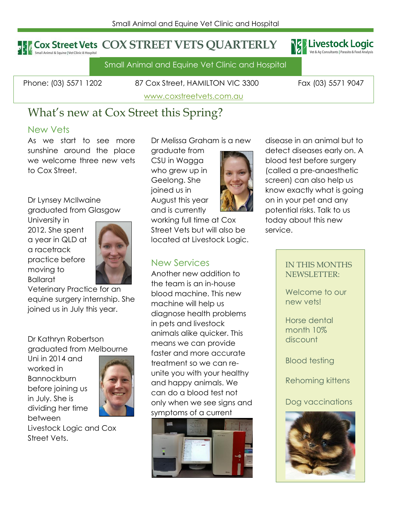### **Cox Street Vets COX STREET VETS QUARTERLY** .<br>Small Animal & Equine | Vet Clinic & Hospital



Small Animal and Equine Vet Clinic and Hospital

Phone: (03) 5571 1202 87 Cox Street, HAMILTON VIC 3300 Fax (03) 5571 9047

[www.coxstreetvets.com.au](http://www.coxstreetvets.com.au/)

# What's new at Cox Street this Spring?

### New Vets

As we start to see more sunshine around the place we welcome three new vets to Cox Street.

Dr Lynsey McIlwaine graduated from Glasgow

University in 2012. She spent a year in QLD at a racetrack practice before moving to Ballarat



Veterinary Practice for an equine surgery internship. She joined us in July this year.

Dr Kathryn Robertson graduated from Melbourne

Uni in 2014 and worked in **Bannockburn** before joining us in July. She is dividing her time between



Livestock Logic and Cox Street Vets.

Dr Melissa Graham is a new

graduate from CSU in Wagga who grew up in Geelong. She joined us in August this year and is currently

working full time at Cox Street Vets but will also be located at Livestock Logic.

Another new addition to the team is an in-house blood machine. This new machine will help us diagnose health problems in pets and livestock animals alike quicker. This means we can provide faster and more accurate treatment so we can reunite you with your healthy and happy animals. We can do a blood test not only when we see signs and symptoms of a current



disease in an animal but to detect diseases early on. A blood test before surgery (called a pre-anaesthetic screen) can also help us know exactly what is going on in your pet and any potential risks. Talk to us today about this new service.

### IN THIS MONTHS NEWSLETTER:

Welcome to our new vets!

Horse dental month 10% discount

Blood testing

Rehoming kittens

Dog vaccinations



## New Services